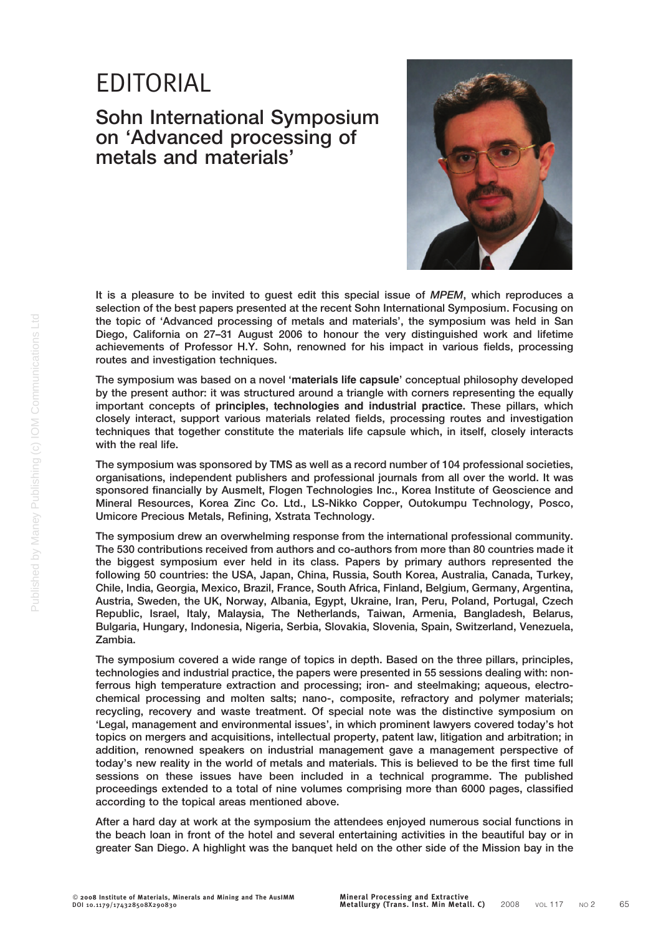## EDITORIAL

## Sohn International Symposium on 'Advanced processing of metals and materials'



It is a pleasure to be invited to quest edit this special issue of MPEM, which reproduces a selection of the best papers presented at the recent Sohn International Symposium. Focusing on the topic of 'Advanced processing of metals and materials', the symposium was held in San Diego, California on 27–31 August 2006 to honour the very distinguished work and lifetime achievements of Professor H.Y. Sohn, renowned for his impact in various fields, processing routes and investigation techniques.

The symposium was based on a novel 'materials life capsule' conceptual philosophy developed by the present author: it was structured around a triangle with corners representing the equally important concepts of principles, technologies and industrial practice. These pillars, which closely interact, support various materials related fields, processing routes and investigation techniques that together constitute the materials life capsule which, in itself, closely interacts with the real life.

The symposium was sponsored by TMS as well as a record number of 104 professional societies, organisations, independent publishers and professional journals from all over the world. It was sponsored financially by Ausmelt, Flogen Technologies Inc., Korea Institute of Geoscience and Mineral Resources, Korea Zinc Co. Ltd., LS-Nikko Copper, Outokumpu Technology, Posco, Umicore Precious Metals, Refining, Xstrata Technology.

The symposium drew an overwhelming response from the international professional community. The 530 contributions received from authors and co-authors from more than 80 countries made it the biggest symposium ever held in its class. Papers by primary authors represented the following 50 countries: the USA, Japan, China, Russia, South Korea, Australia, Canada, Turkey, Chile, India, Georgia, Mexico, Brazil, France, South Africa, Finland, Belgium, Germany, Argentina, Austria, Sweden, the UK, Norway, Albania, Egypt, Ukraine, Iran, Peru, Poland, Portugal, Czech Republic, Israel, Italy, Malaysia, The Netherlands, Taiwan, Armenia, Bangladesh, Belarus, Bulgaria, Hungary, Indonesia, Nigeria, Serbia, Slovakia, Slovenia, Spain, Switzerland, Venezuela, Zambia.

The symposium covered a wide range of topics in depth. Based on the three pillars, principles, technologies and industrial practice, the papers were presented in 55 sessions dealing with: nonferrous high temperature extraction and processing; iron- and steelmaking; aqueous, electrochemical processing and molten salts; nano-, composite, refractory and polymer materials; recycling, recovery and waste treatment. Of special note was the distinctive symposium on 'Legal, management and environmental issues', in which prominent lawyers covered today's hot topics on mergers and acquisitions, intellectual property, patent law, litigation and arbitration; in addition, renowned speakers on industrial management gave a management perspective of today's new reality in the world of metals and materials. This is believed to be the first time full sessions on these issues have been included in a technical programme. The published proceedings extended to a total of nine volumes comprising more than 6000 pages, classified according to the topical areas mentioned above.

After a hard day at work at the symposium the attendees enjoyed numerous social functions in the beach loan in front of the hotel and several entertaining activities in the beautiful bay or in greater San Diego. A highlight was the banquet held on the other side of the Mission bay in the